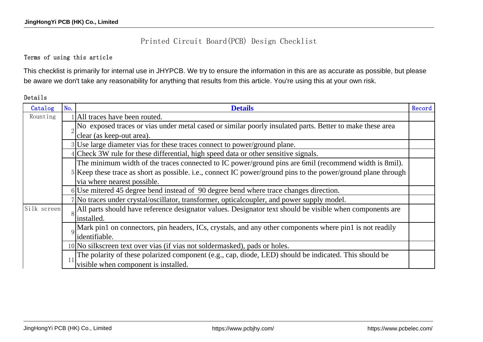## Printed Circuit Board(PCB) Design Checklist

## Terms of using this article

This checklist is primarily for internal use in JHYPCB. We try to ensure the information in this are as accurate as possible, but please be aware we don't take any reasonability for anything that results from this article. You're using this at your own risk.

## Details

| Catalog     | No.            | <b>Details</b>                                                                                                | Record |
|-------------|----------------|---------------------------------------------------------------------------------------------------------------|--------|
| Rounting    |                | 1 All traces have been routed.                                                                                |        |
|             |                | No exposed traces or vias under metal cased or similar poorly insulated parts. Better to make these area      |        |
|             |                | clear (as keep-out area).                                                                                     |        |
|             |                | 3 Use large diameter vias for these traces connect to power/ground plane.                                     |        |
|             |                | Check 3W rule for these differential, high speed data or other sensitive signals.                             |        |
|             |                | The minimum width of the traces connected to IC power/ground pins are 6mil (recommend width is 8mil).         |        |
|             |                | 5 Keep these trace as short as possible. i.e., connect IC power/ground pins to the power/ground plane through |        |
|             |                | via where nearest possible.                                                                                   |        |
|             |                | 6 Use mitered 45 degree bend instead of 90 degree bend where trace changes direction.                         |        |
|             |                | 7 No traces under crystal/oscillator, transformer, optical coupler, and power supply model.                   |        |
| Silk screen | 8 <sup>1</sup> | All parts should have reference designator values. Designator text should be visible when components are      |        |
|             |                | installed.                                                                                                    |        |
|             |                | Mark pin1 on connectors, pin headers, ICs, crystals, and any other components where pin1 is not readily       |        |
|             |                | identifiable.                                                                                                 |        |
|             |                | 10 No silkscreen text over vias (if vias not soldermasked), pads or holes.                                    |        |
|             |                | The polarity of these polarized component (e.g., cap, diode, LED) should be indicated. This should be         |        |
|             |                | visible when component is installed.                                                                          |        |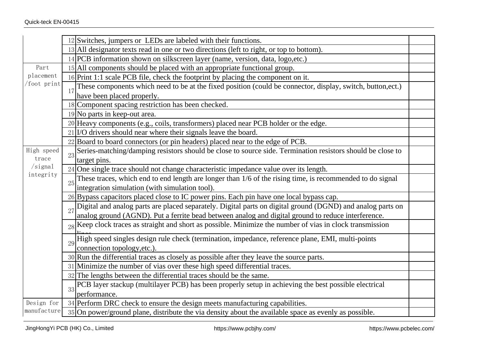|                                 |    | 12 Switches, jumpers or LEDs are labeled with their functions.                                                 |  |
|---------------------------------|----|----------------------------------------------------------------------------------------------------------------|--|
|                                 |    | 13 All designator texts read in one or two directions (left to right, or top to bottom).                       |  |
|                                 |    | 14 PCB information shown on silkscreen layer (name, version, data, logo, etc.)                                 |  |
| Part<br>placement<br>foot print |    | 15 All components should be placed with an appropriate functional group.                                       |  |
|                                 |    | 16 Print 1:1 scale PCB file, check the footprint by placing the component on it.                               |  |
|                                 | 17 | These components which need to be at the fixed position (could be connector, display, switch, button,ect.)     |  |
|                                 |    | have been placed properly.                                                                                     |  |
|                                 |    | 18 Component spacing restriction has been checked.                                                             |  |
|                                 |    | 19 No parts in keep-out area.                                                                                  |  |
|                                 |    | 20 Heavy components (e.g., coils, transformers) placed near PCB holder or the edge.                            |  |
|                                 |    | 21 I/O drivers should near where their signals leave the board.                                                |  |
|                                 |    | 22 Board to board connectors (or pin headers) placed near to the edge of PCB.                                  |  |
| High speed                      | 23 | Series-matching/damping resistors should be close to source side. Termination resistors should be close to     |  |
| trace                           |    | target pins.                                                                                                   |  |
| $/s$ ignal                      |    | 24 One single trace should not change characteristic impedance value over its length.                          |  |
| integrity                       | 25 | These traces, which end to end length are longer than 1/6 of the rising time, is recommended to do signal      |  |
|                                 |    | integration simulation (with simulation tool).                                                                 |  |
|                                 |    | 26 Bypass capacitors placed close to IC power pins. Each pin have one local bypass cap.                        |  |
|                                 |    | Digital and analog parts are placed separately. Digital parts on digital ground (DGND) and analog parts on     |  |
|                                 |    | analog ground (AGND). Put a ferrite bead between analog and digital ground to reduce interference.             |  |
|                                 |    | $_{28}$ Keep clock traces as straight and short as possible. Minimize the number of vias in clock transmission |  |
|                                 | 29 | High speed singles design rule check (termination, impedance, reference plane, EMI, multi-points               |  |
|                                 |    | connection topology, etc.).                                                                                    |  |
|                                 |    | $30$ Run the differential traces as closely as possible after they leave the source parts.                     |  |
|                                 |    | 31 Minimize the number of vias over these high speed differential traces.                                      |  |
|                                 |    | 32 The lengths between the differential traces should be the same.                                             |  |
|                                 | 33 | PCB layer stackup (multilayer PCB) has been properly setup in achieving the best possible electrical           |  |
|                                 |    | performance.                                                                                                   |  |
| Design for                      |    | 34 Perform DRC check to ensure the design meets manufacturing capabilities.                                    |  |
| manufacture                     |    | 35 On power/ground plane, distribute the via density about the available space as evenly as possible.          |  |
|                                 |    |                                                                                                                |  |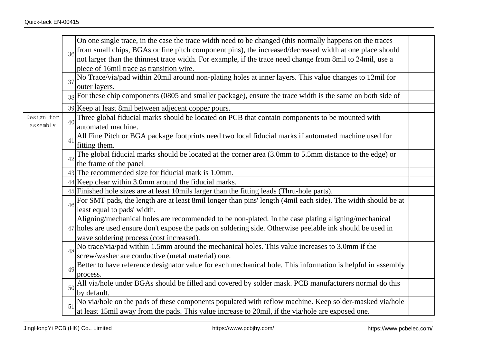|                        | 36            | On one single trace, in the case the trace width need to be changed (this normally happens on the traces<br>from small chips, BGAs or fine pitch component pins), the increased/decreased width at one place should<br>not larger than the thinnest trace width. For example, if the trace need change from 8mil to 24mil, use a<br>piece of 16mil trace as transition wire. |  |
|------------------------|---------------|------------------------------------------------------------------------------------------------------------------------------------------------------------------------------------------------------------------------------------------------------------------------------------------------------------------------------------------------------------------------------|--|
|                        |               | No Trace/via/pad within 20mil around non-plating holes at inner layers. This value changes to 12mil for<br>outer layers.                                                                                                                                                                                                                                                     |  |
|                        |               | For these chip components (0805 and smaller package), ensure the trace width is the same on both side of                                                                                                                                                                                                                                                                     |  |
|                        |               | 39 Keep at least 8mil between adjecent copper pours.                                                                                                                                                                                                                                                                                                                         |  |
| Design for<br>assembly | 40            | Three global fiducial marks should be located on PCB that contain components to be mounted with<br>automated machine.                                                                                                                                                                                                                                                        |  |
|                        | 41            | All Fine Pitch or BGA package footprints need two local fiducial marks if automated machine used for<br>fitting them.                                                                                                                                                                                                                                                        |  |
|                        | $42 \text{ }$ | The global fiducial marks should be located at the corner area (3.0mm to 5.5mm distance to the edge) or<br>the frame of the panel.                                                                                                                                                                                                                                           |  |
|                        |               | $43$ The recommended size for fiducial mark is 1.0mm.                                                                                                                                                                                                                                                                                                                        |  |
|                        |               | 44 Keep clear within 3.0mm around the fiducial marks.                                                                                                                                                                                                                                                                                                                        |  |
|                        |               | 45 Finished hole sizes are at least 10mils larger than the fitting leads (Thru-hole parts).                                                                                                                                                                                                                                                                                  |  |
|                        | 46            | For SMT pads, the length are at least 8mil longer than pins' length (4mil each side). The width should be at<br>least equal to pads' width.                                                                                                                                                                                                                                  |  |
|                        |               | Aligning/mechanical holes are recommended to be non-plated. In the case plating aligning/mechanical<br>47 holes are used ensure don't expose the pads on soldering side. Otherwise peelable ink should be used in<br>wave soldering process (cost increased).                                                                                                                |  |
|                        | 48            | No trace/via/pad within 1.5mm around the mechanical holes. This value increases to 3.0mm if the<br>screw/washer are conductive (metal material) one.                                                                                                                                                                                                                         |  |
|                        | 49            | Better to have reference designator value for each mechanical hole. This information is helpful in assembly<br>process.                                                                                                                                                                                                                                                      |  |
|                        | 50            | All via/hole under BGAs should be filled and covered by solder mask. PCB manufacturers normal do this<br>by default.                                                                                                                                                                                                                                                         |  |
|                        | 51            | No via/hole on the pads of these components populated with reflow machine. Keep solder-masked via/hole at least 15mil away from the pads. This value increase to 20mil, if the via/hole are exposed one.                                                                                                                                                                     |  |